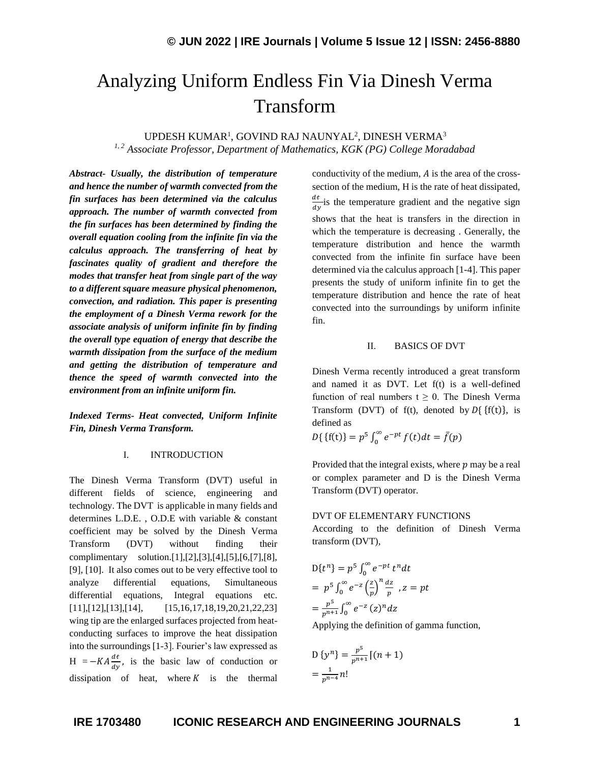# Analyzing Uniform Endless Fin Via Dinesh Verma Transform

UPDESH KUMAR<sup>1</sup>, GOVIND RAJ NAUNYAL<sup>2</sup>, DINESH VERMA<sup>3</sup> *1, 2 Associate Professor, Department of Mathematics, KGK (PG) College Moradabad*

*Abstract- Usually, the distribution of temperature and hence the number of warmth convected from the fin surfaces has been determined via the calculus approach. The number of warmth convected from the fin surfaces has been determined by finding the overall equation cooling from the infinite fin via the calculus approach. The transferring of heat by fascinates quality of gradient and therefore the modes that transfer heat from single part of the way to a different square measure physical phenomenon, convection, and radiation. This paper is presenting the employment of a Dinesh Verma rework for the associate analysis of uniform infinite fin by finding the overall type equation of energy that describe the warmth dissipation from the surface of the medium and getting the distribution of temperature and thence the speed of warmth convected into the environment from an infinite uniform fin.*

*Indexed Terms- Heat convected, Uniform Infinite Fin, Dinesh Verma Transform.*

## I. INTRODUCTION

The Dinesh Verma Transform (DVT) useful in different fields of science, engineering and technology. The DVT is applicable in many fields and determines L.D.E. , O.D.E with variable & constant coefficient may be solved by the Dinesh Verma Transform (DVT) without finding their complimentary solution.[1],[2],[3],[4],[5],[6,[7],[8], [9], [10]. It also comes out to be very effective tool to analyze differential equations, Simultaneous differential equations, Integral equations etc. [11],[12],[13],[14], [15,16,17,18,19,20,21,22,23] wing tip are the enlarged surfaces projected from heatconducting surfaces to improve the heat dissipation into the surroundings [1-3]. Fourier's law expressed as  $H = -KA \frac{dt}{dy}$ , is the basic law of conduction or dissipation of heat, where  $K$  is the thermal

conductivity of the medium,  $A$  is the area of the crosssection of the medium, H is the rate of heat dissipated,  $d<sub>t</sub>$  $\frac{du}{dy}$  is the temperature gradient and the negative sign shows that the heat is transfers in the direction in which the temperature is decreasing . Generally, the temperature distribution and hence the warmth convected from the infinite fin surface have been determined via the calculus approach [1-4]. This paper presents the study of uniform infinite fin to get the temperature distribution and hence the rate of heat convected into the surroundings by uniform infinite fin.

## II. BASICS OF DVT

Dinesh Verma recently introduced a great transform and named it as DVT. Let f(t) is a well-defined function of real numbers  $t \geq 0$ . The Dinesh Verma Transform (DVT) of f(t), denoted by  $D\{f(t)\}\)$ , is defined as

$$
D\{\{f(t)\}=p^5\int_0^\infty e^{-pt}f(t)dt=\bar{f}(p)
$$

Provided that the integral exists, where  $p$  may be a real or complex parameter and D is the Dinesh Verma Transform (DVT) operator.

#### DVT OF ELEMENTARY FUNCTIONS

According to the definition of Dinesh Verma transform (DVT),

$$
D{tn} = p5 \int_0^{\infty} e^{-pt} tn dt
$$
  
=  $p5 \int_0^{\infty} e^{-z} \left(\frac{z}{p}\right)^n \frac{dz}{p}$ ,  $z = pt$   
=  $\frac{p5}{pn+1} \int_0^{\infty} e^{-z} (z)^n dz$ 

Applying the definition of gamma function,

$$
D\{y^n\} = \frac{p^5}{p^{n+1}}[(n+1)]
$$
  
= 
$$
\frac{1}{p^{n-4}}n!
$$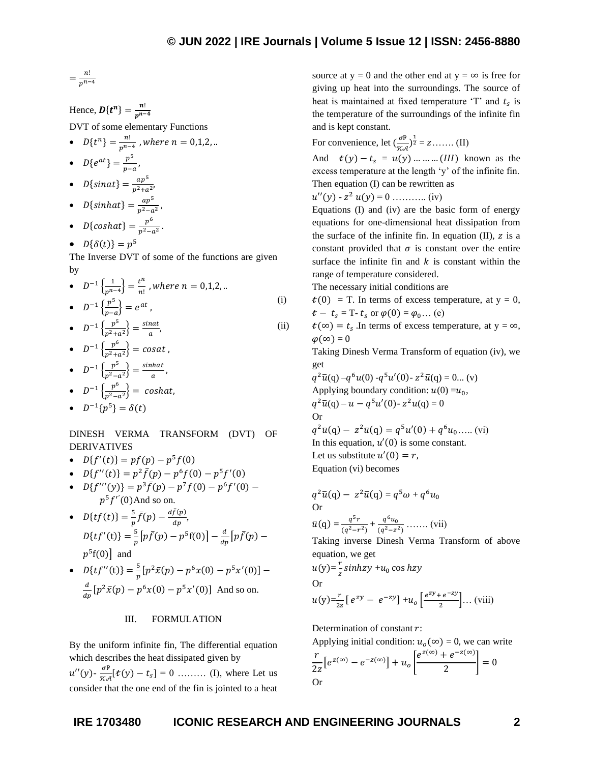$$
=\frac{n!}{p^{n-4}}
$$

Hence, 
$$
D\{t^n\} = \frac{n!}{p^{n-4}}
$$
  
DVT of some elementary Functions

•  $D\{t^n\} = \frac{n!}{n^n}$  $\frac{n}{p^{n-4}}$  , where  $n = 0,1,2, ...$ 

• 
$$
D\{e^{at}\} = \frac{p^5}{p-a},
$$

- $D\{sinat\} = \frac{ap^5}{a^2 + b^2}$  $\frac{ap}{p^2 + a^2}$
- $D\{\text{sinhat}\} = \frac{ap^5}{a^2}$  $p^2-a^2$ ,
- $D{coshat} = \frac{p^6}{r^2}$  $\frac{p}{p^2 - a^2}$ .
- $D\{\delta(t)\} = p^5$

**T**he Inverse DVT of some of the functions are given by

\n- $$
D^{-1}\left\{\frac{1}{p^{n-4}}\right\} = \frac{t^n}{n!}
$$
, where  $n = 0, 1, 2, \ldots$
\n- $D^{-1}\left\{\frac{p^5}{p-a}\right\} = e^{at}$ , (i)
\n

• 
$$
D^{-1}\left\{\frac{p^5}{p^2+a^2}\right\} = \frac{\sin at}{a}
$$
, (ii)

• 
$$
D^{-1}\left\{\frac{p^6}{p^2+a^2}\right\} = \cos at
$$
,  
\n•  $D^{-1}\left\{\frac{p^5}{p^2+a^2}\right\} = \frac{\sin hat}{\cos at}$ ,

• 
$$
D^{-1}\left\{\frac{p^{\circ}}{p^2-a^2}\right\} = \frac{\sin n \alpha t}{a}
$$

•  $D^{-1}\left\{\frac{p^6}{n^2}\right\}$  $\frac{p}{p^2-a^2}$ } = coshat, −1 5

$$
\bullet \quad D^{-1}\{p^5\} = \delta(t)
$$

DINESH VERMA TRANSFORM (DVT) OF DERIVATIVES

- $D{f'(t)} = p\bar{f}(p) p^5 f(0)$
- $D{f''(t)} = p^2 \bar{f}(p) p^6 f(0) p^5 f'(0)$
- $D{f'''(y)} = p^3 \bar{f}(p) p^7 f(0) p^6 f'(0)$  $p^5f''(0)$ And so on.
- $D{tf(t)} = \frac{5}{5}$  $\frac{5}{p}\bar{f}(p)-\frac{d\bar{f}(p)}{dp}$  $\frac{f(\mu)}{dp}$  $D{tf'(t)} = \frac{5}{5}$  $\frac{5}{p}\left[p\bar{f}(p)-p^5f(0)\right]-\frac{d}{dp}$  $\frac{d}{dp}\big[p\bar{f}(p)$  –  $p^5f(0)$  and
- $D{tf''(t)} = \frac{5}{5}$  $\frac{5}{p}[p^2\bar{x}(p) - p^6x(0) - p^5x'(0)]$  – d  $\frac{d}{dp}[p^2\bar{x}(p) - p^6x(0) - p^5x'(0)]$  And so on.

# III. FORMULATION

By the uniform infinite fin, The differential equation which describes the heat dissipated given by

 $u''(y)$ - $\frac{\sigma P}{\sigma}$  $\frac{\partial F}{\partial x \partial t}[t(y) - t_s] = 0$  ......... (I), where Let us consider that the one end of the fin is jointed to a heat

source at y = 0 and the other end at y =  $\infty$  is free for giving up heat into the surroundings. The source of heat is maintained at fixed temperature  $T'$  and  $t_s$  is the temperature of the surroundings of the infinite fin and is kept constant.

For convenience, let  $\left(\frac{\sigma^{\mathbb{P}}}{\sigma^{\mathbb{P}}}\right)$  $\frac{\sigma \mathbb{P}}{\mathcal{K} \mathcal{A}}$  $\frac{1}{2}$  = z....... (II)

And  $t(y) - t_s = u(y)$  … … … (III) known as the excess temperature at the length 'y' of the infinite fin. Then equation (I) can be rewritten as

$$
u''(y) - z^2 u(y) = 0 \dots \dots \dots \dots \text{(iv)}
$$

Equations (I) and (iv) are the basic form of energy equations for one-dimensional heat dissipation from the surface of the infinite fin. In equation  $(II)$ , z is a constant provided that  $\sigma$  is constant over the entire surface the infinite fin and  $k$  is constant within the range of temperature considered.

The necessary initial conditions are

 $t(0)$  = T. In terms of excess temperature, at y = 0,  $t - t_s = T - t_s$  or  $\varphi(0) = \varphi_0 ...$  (e)

(ii)  $t(\infty) = t_s$ . In terms of excess temperature, at  $y = \infty$ ,  $\varphi(\infty) = 0$ 

> Taking Dinesh Verma Transform of equation (iv), we get

 $q^2\bar{u}(q) - q^6u(0) - q^5u'(0) - z^2\bar{u}(q) = 0...$  (v) Applying boundary condition:  $u(0) = u_0$ ,  $q^2\bar{u}(q) - u - q^5u'(0) - z^2u(q) = 0$ Or

 $q^2\bar{u}(q) - z^2\bar{u}(q) = q^5u'(0) + q^6u_0 \dots$  (vi) In this equation,  $u'(0)$  is some constant. Let us substitute  $u'(0) = r$ , Equation (vi) becomes

$$
q^{2}\bar{u}(q) - z^{2}\bar{u}(q) = q^{5}\omega + q^{6}u_{0}
$$
  
Or  

$$
\bar{u}(q) = \frac{q^{5}r}{(q^{2}-r^{2})} + \frac{q^{6}u_{0}}{(q^{2}-z^{2})} + \dots
$$
 (vii)

Taking inverse Dinesh Verma Transform of above equation, we get

 $u(y)=\frac{r}{2}$  $\frac{1}{z}$ sinhzy + $u_0$  cos hzy

Or

$$
u(y) = \frac{r}{2z} \left[ e^{zy} - e^{-zy} \right] + u_o \left[ \frac{e^{zy} + e^{-zy}}{2} \right] \dots \text{ (viii)}
$$

Determination of constant  $r$ :

Applying initial condition:  $u_0(\infty) = 0$ , we can write

$$
\frac{r}{2z} \left[ e^{z(\infty)} - e^{-z(\infty)} \right] + u_o \left[ \frac{e^{z(\infty)} + e^{-z(\infty)}}{2} \right] = 0
$$
 Or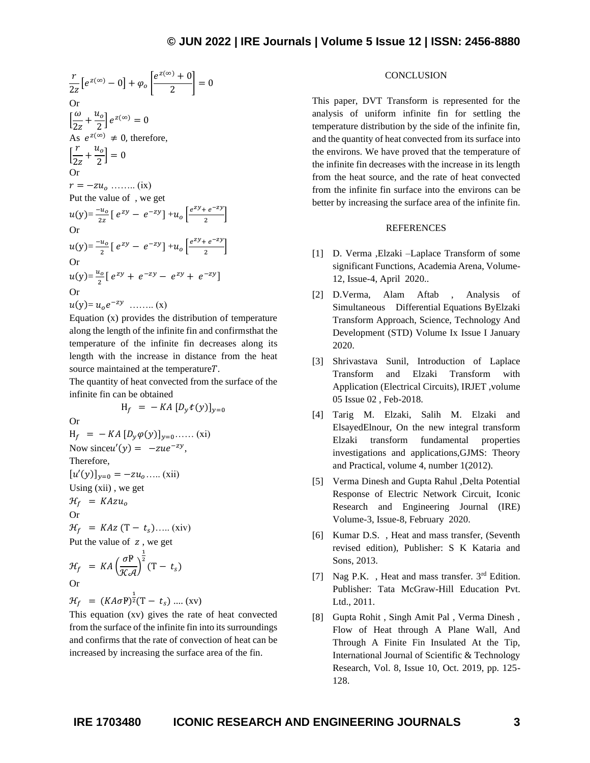$$
\frac{r}{2z} \left[ e^{z(\infty)} - 0 \right] + \varphi_o \left[ \frac{e^{z(\infty)} + 0}{2} \right] = 0
$$
\nOr

\n
$$
\left[ \frac{\omega}{2z} + \frac{u_o}{2} \right] e^{z(\infty)} = 0
$$
\nAs  $e^{z(\infty)} \neq 0$ , therefore,

\n
$$
\left[ \frac{r}{2z} + \frac{u_o}{2} \right] = 0
$$
\nOr

\n
$$
r = -zu_o \quad \dots \quad \text{(ix)}
$$
\nPut the value of , we get

\n
$$
u(y) = \frac{-u_o}{2z} \left[ e^{zy} - e^{-zy} \right] + u_o \left[ \frac{e^{zy} + e^{-zy}}{2} \right]
$$
\nOr

\n
$$
u(y) = \frac{-u_o}{2} \left[ e^{zy} - e^{-zy} \right] + u_o \left[ \frac{e^{zy} + e^{-zy}}{2} \right]
$$
\nOr

\n
$$
u(y) = \frac{u_o}{2} \left[ e^{zy} + e^{-zy} - e^{zy} + e^{-zy} \right]
$$
\nOr

\n
$$
u(y) = u_o e^{-zy} \quad \dots \dots \quad \text{(x)}
$$

Equation (x) provides the distribution of temperature along the length of the infinite fin and confirmsthat the temperature of the infinite fin decreases along its length with the increase in distance from the heat source maintained at the temperature $T$ .

The quantity of heat convected from the surface of the infinite fin can be obtained

$$
H_f = -KA [D_y t(y)]_{y=0}
$$
  
Or  

$$
H_f = -KA [D_y \varphi(y)]_{y=0} \dots (xi)
$$
  
Now since  $u'(y) = -zue^{-zy}$ ,  
Therefore,  

$$
[u'(y)]_{y=0} = -zu_0 \dots (xii)
$$
  
Using (xii), we get  

$$
\mathcal{H}_f = KAzu_0
$$
  
Or  

$$
\mathcal{H}_f = KAz (T - t_s) \dots (xiv)
$$
  
Put the value of z, we get  

$$
\mathcal{H}_f = KA \left(\frac{\sigma P}{\mathcal{K} A}\right)^{\frac{1}{2}} (T - t_s)
$$

Or

$$
\mathcal{H}_f = (KA\sigma P)^{\frac{1}{2}}(T - t_s) .... (xv)
$$

This equation (xv) gives the rate of heat convected from the surface of the infinite fin into its surroundings and confirms that the rate of convection of heat can be increased by increasing the surface area of the fin.

# **CONCLUSION**

This paper, DVT Transform is represented for the analysis of uniform infinite fin for settling the temperature distribution by the side of the infinite fin, and the quantity of heat convected from its surface into the environs. We have proved that the temperature of the infinite fin decreases with the increase in its length from the heat source, and the rate of heat convected from the infinite fin surface into the environs can be better by increasing the surface area of the infinite fin.

### REFERENCES

- [1] D. Verma ,Elzaki –Laplace Transform of some significant Functions, Academia Arena, Volume-12, Issue-4, April 2020..
- [2] D.Verma, Alam Aftab , Analysis of Simultaneous Differential Equations ByElzaki Transform Approach, Science, Technology And Development (STD) Volume Ix Issue I January 2020.
- [3] Shrivastava Sunil, Introduction of Laplace Transform and Elzaki Transform with Application (Electrical Circuits), IRJET ,volume 05 Issue 02 , Feb-2018.
- [4] Tarig M. Elzaki, Salih M. Elzaki and ElsayedElnour, On the new integral transform Elzaki transform fundamental properties investigations and applications,GJMS: Theory and Practical, volume 4, number 1(2012).
- [5] Verma Dinesh and Gupta Rahul ,Delta Potential Response of Electric Network Circuit, Iconic Research and Engineering Journal (IRE) Volume-3, Issue-8, February 2020.
- [6] Kumar D.S. , Heat and mass transfer, (Seventh revised edition), Publisher: S K Kataria and Sons, 2013.
- [7] Nag P.K., Heat and mass transfer. 3<sup>rd</sup> Edition. Publisher: Tata McGraw-Hill Education Pvt. Ltd., 2011.
- [8] Gupta Rohit , Singh Amit Pal , Verma Dinesh , Flow of Heat through A Plane Wall, And Through A Finite Fin Insulated At the Tip, International Journal of Scientific & Technology Research, Vol. 8, Issue 10, Oct. 2019, pp. 125- 128.